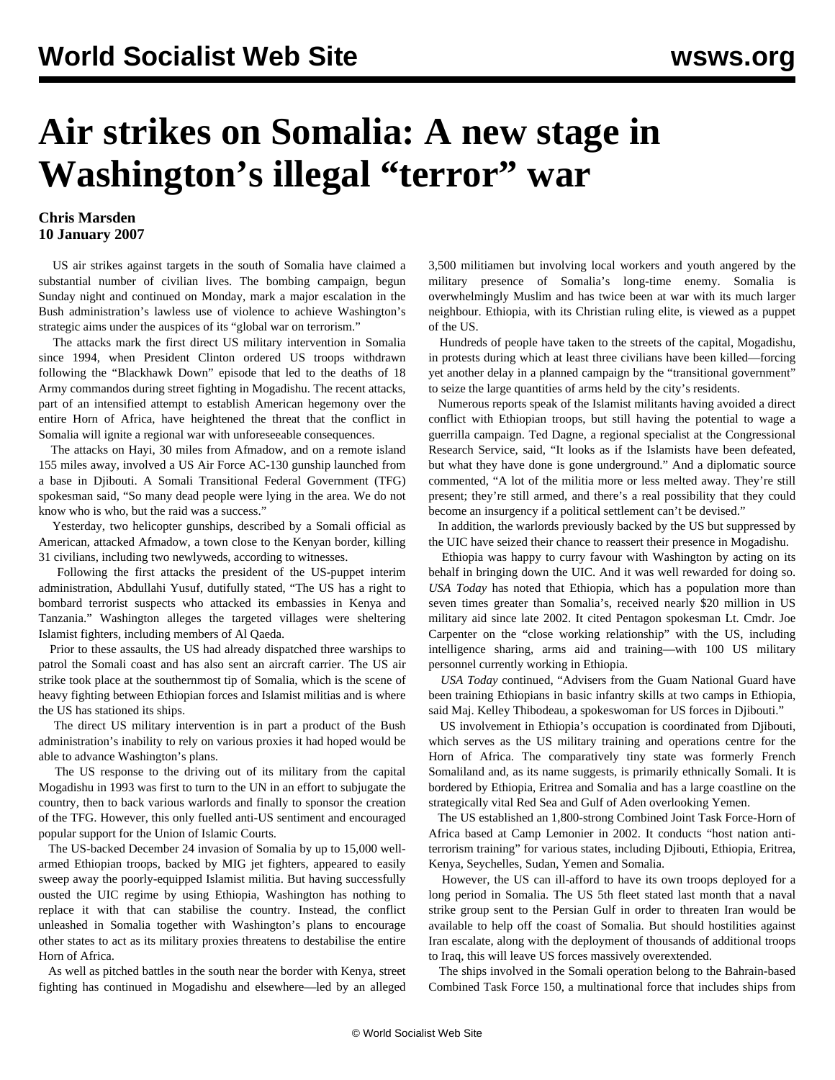## **Air strikes on Somalia: A new stage in Washington's illegal "terror" war**

## **Chris Marsden 10 January 2007**

 US air strikes against targets in the south of Somalia have claimed a substantial number of civilian lives. The bombing campaign, begun Sunday night and continued on Monday, mark a major escalation in the Bush administration's lawless use of violence to achieve Washington's strategic aims under the auspices of its "global war on terrorism."

 The attacks mark the first direct US military intervention in Somalia since 1994, when President Clinton ordered US troops withdrawn following the "Blackhawk Down" episode that led to the deaths of 18 Army commandos during street fighting in Mogadishu. The recent attacks, part of an intensified attempt to establish American hegemony over the entire Horn of Africa, have heightened the threat that the conflict in Somalia will ignite a regional war with unforeseeable consequences.

 The attacks on Hayi, 30 miles from Afmadow, and on a remote island 155 miles away, involved a US Air Force AC-130 gunship launched from a base in Djibouti. A Somali Transitional Federal Government (TFG) spokesman said, "So many dead people were lying in the area. We do not know who is who, but the raid was a success."

 Yesterday, two helicopter gunships, described by a Somali official as American, attacked Afmadow, a town close to the Kenyan border, killing 31 civilians, including two newlyweds, according to witnesses.

 Following the first attacks the president of the US-puppet interim administration, Abdullahi Yusuf, dutifully stated, "The US has a right to bombard terrorist suspects who attacked its embassies in Kenya and Tanzania." Washington alleges the targeted villages were sheltering Islamist fighters, including members of Al Qaeda.

 Prior to these assaults, the US had already dispatched three warships to patrol the Somali coast and has also sent an aircraft carrier. The US air strike took place at the southernmost tip of Somalia, which is the scene of heavy fighting between Ethiopian forces and Islamist militias and is where the US has stationed its ships.

 The direct US military intervention is in part a product of the Bush administration's inability to rely on various proxies it had hoped would be able to advance Washington's plans.

 The US response to the driving out of its military from the capital Mogadishu in 1993 was first to turn to the UN in an effort to subjugate the country, then to back various warlords and finally to sponsor the creation of the TFG. However, this only fuelled anti-US sentiment and encouraged popular support for the Union of Islamic Courts.

 The US-backed December 24 invasion of Somalia by up to 15,000 wellarmed Ethiopian troops, backed by MIG jet fighters, appeared to easily sweep away the poorly-equipped Islamist militia. But having successfully ousted the UIC regime by using Ethiopia, Washington has nothing to replace it with that can stabilise the country. Instead, the conflict unleashed in Somalia together with Washington's plans to encourage other states to act as its military proxies threatens to destabilise the entire Horn of Africa.

 As well as pitched battles in the south near the border with Kenya, street fighting has continued in Mogadishu and elsewhere—led by an alleged 3,500 militiamen but involving local workers and youth angered by the military presence of Somalia's long-time enemy. Somalia is overwhelmingly Muslim and has twice been at war with its much larger neighbour. Ethiopia, with its Christian ruling elite, is viewed as a puppet of the US.

 Hundreds of people have taken to the streets of the capital, Mogadishu, in protests during which at least three civilians have been killed—forcing yet another delay in a planned campaign by the "transitional government" to seize the large quantities of arms held by the city's residents.

 Numerous reports speak of the Islamist militants having avoided a direct conflict with Ethiopian troops, but still having the potential to wage a guerrilla campaign. Ted Dagne, a regional specialist at the Congressional Research Service, said, "It looks as if the Islamists have been defeated, but what they have done is gone underground." And a diplomatic source commented, "A lot of the militia more or less melted away. They're still present; they're still armed, and there's a real possibility that they could become an insurgency if a political settlement can't be devised."

 In addition, the warlords previously backed by the US but suppressed by the UIC have seized their chance to reassert their presence in Mogadishu.

 Ethiopia was happy to curry favour with Washington by acting on its behalf in bringing down the UIC. And it was well rewarded for doing so. *USA Today* has noted that Ethiopia, which has a population more than seven times greater than Somalia's, received nearly \$20 million in US military aid since late 2002. It cited Pentagon spokesman Lt. Cmdr. Joe Carpenter on the "close working relationship" with the US, including intelligence sharing, arms aid and training—with 100 US military personnel currently working in Ethiopia.

 *USA Today* continued, "Advisers from the Guam National Guard have been training Ethiopians in basic infantry skills at two camps in Ethiopia, said Maj. Kelley Thibodeau, a spokeswoman for US forces in Djibouti."

 US involvement in Ethiopia's occupation is coordinated from Djibouti, which serves as the US military training and operations centre for the Horn of Africa. The comparatively tiny state was formerly French Somaliland and, as its name suggests, is primarily ethnically Somali. It is bordered by Ethiopia, Eritrea and Somalia and has a large coastline on the strategically vital Red Sea and Gulf of Aden overlooking Yemen.

 The US established an 1,800-strong Combined Joint Task Force-Horn of Africa based at Camp Lemonier in 2002. It conducts "host nation antiterrorism training" for various states, including Djibouti, Ethiopia, Eritrea, Kenya, Seychelles, Sudan, Yemen and Somalia.

 However, the US can ill-afford to have its own troops deployed for a long period in Somalia. The US 5th fleet stated last month that a naval strike group sent to the Persian Gulf in order to threaten Iran would be available to help off the coast of Somalia. But should hostilities against Iran escalate, along with the deployment of thousands of additional troops to Iraq, this will leave US forces massively overextended.

 The ships involved in the Somali operation belong to the Bahrain-based Combined Task Force 150, a multinational force that includes ships from